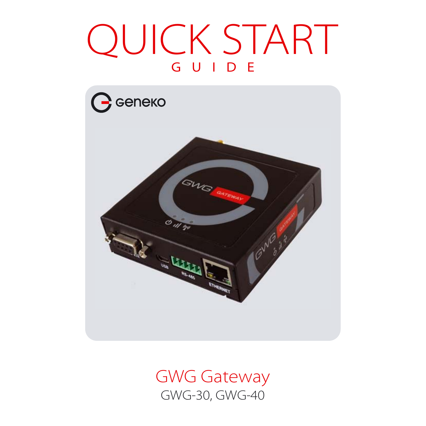# QUICK START



GWG Gateway GWG-30, GWG-40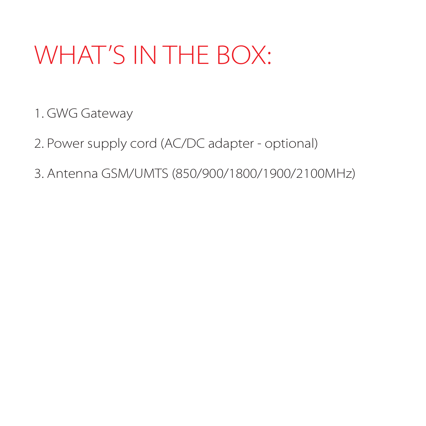#### WHAT'S IN THE BOX:

1. GWG Gateway

2. Power supply cord (AC/DC adapter - optional)

3. Antenna GSM/UMTS (850/900/1800/1900/2100MHz)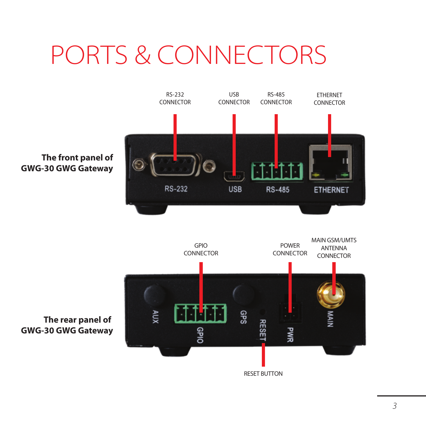## PORTS & CONNECTORS



*3*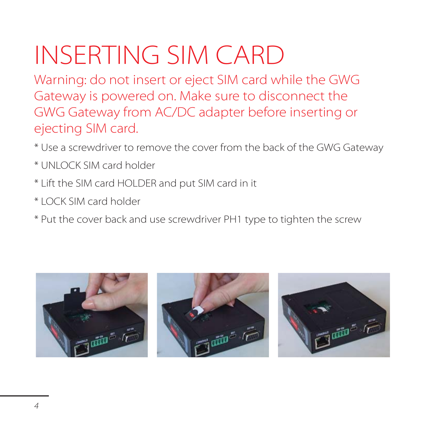# INSERTING SIM CARD

Warning: do not insert or eject SIM card while the GWG Gateway is powered on. Make sure to disconnect the GWG Gateway from AC/DC adapter before inserting or ejecting SIM card.

- \* Use a screwdriver to remove the cover from the back of the GWG Gateway
- \* UNLOCK SIM card holder
- \* Lift the SIM card HOLDER and put SIM card in it
- \* LOCK SIM card holder
- \* Put the cover back and use screwdriver PH1 type to tighten the screw





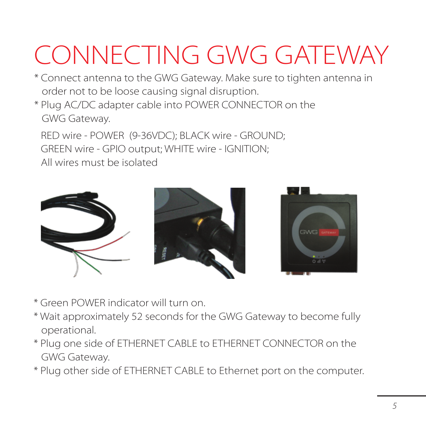# CONNECTING GWG GATEWAY

- \* Connect antenna to the GWG Gateway. Make sure to tighten antenna in order not to be loose causing signal disruption.
- \* Plug AC/DC adapter cable into POWER CONNECTOR on the GWG Gateway.

RED wire - POWER (9-36VDC); BLACK wire - GROUND; GREEN wire - GPIO output; WHITE wire - IGNITION; All wires must be isolated



- \* Green POWER indicator will turn on.
- \* Wait approximately 52 seconds for the GWG Gateway to become fully operational.
- \* Plug one side of ETHERNET CABLE to ETHERNET CONNECTOR on the GWG Gateway.
- \* Plug other side of ETHERNET CABLE to Ethernet port on the computer.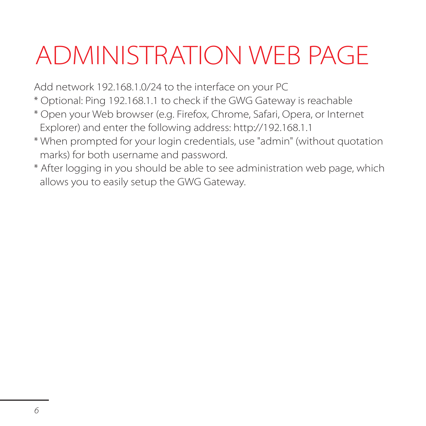# ADMINISTRATION WEB PAGE

Add network 192.168.1.0/24 to the interface on your PC

- \* Optional: Ping 192.168.1.1 to check if the GWG Gateway is reachable
- \* Open your Web browser (e.g. Firefox, Chrome, Safari, Opera, or Internet Explorer) and enter the following address: http://192.168.1.1
- \* When prompted for your login credentials, use "admin" (without quotation marks) for both username and password.
- \* After logging in you should be able to see administration web page, which allows you to easily setup the GWG Gateway.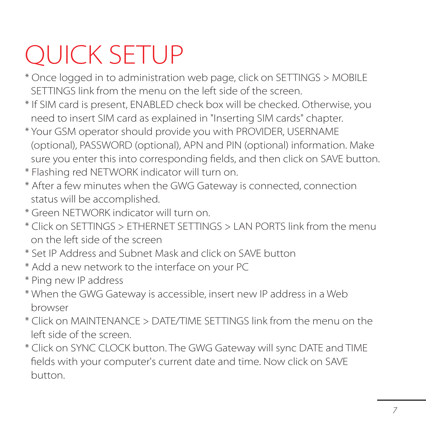# QUICK SETUP

- \* Once logged in to administration web page, click on SETTINGS > MOBILE SETTINGS link from the menu on the left side of the screen.
- \* If SIM card is present, ENABLED check box will be checked. Otherwise, you need to insert SIM card as explained in "Inserting SIM cards" chapter.
- \* Your GSM operator should provide you with PROVIDER, USERNAME (optional), PASSWORD (optional), APN and PIN (optional) information. Make sure you enter this into corresponding fields, and then click on SAVE button.
- \* Flashing red NETWORK indicator will turn on.
- \* After a few minutes when the GWG Gateway is connected, connection status will be accomplished.
- \* Green NETWORK indicator will turn on.
- \* Click on SETTINGS > ETHERNET SETTINGS > LAN PORTS link from the menu on the left side of the screen
- \* Set IP Address and Subnet Mask and click on SAVE button
- \* Add a new network to the interface on your PC
- \* Ping new IP address
- \* When the GWG Gateway is accessible, insert new IP address in a Web browser
- \* Click on MAINTENANCE > DATE/TIME SETTINGS link from the menu on the left side of the screen.
- \* Click on SYNC CLOCK button. The GWG Gateway will sync DATE and TIME fields with your computer's current date and time. Now click on SAVE button.